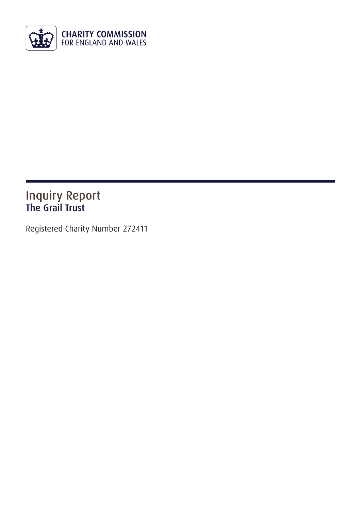

### Inquiry Report The Grail Trust

Registered Charity Number 272411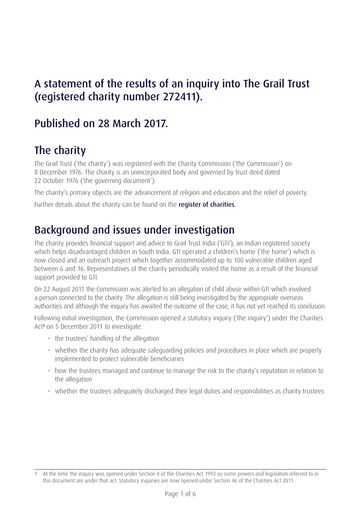## A statement of the results of an inquiry into The Grail Trust (registered charity number 272411).

## Published on 28 March 2017.

# The charity

The Grail Trust ('the charity') was registered with the Charity Commission ('the Commission') on 8 December 1976. The charity is an unincorporated body and governed by trust deed dated 22 October 1976 ('the governing document').

The charity's primary objects are the advancement of religion and education and the relief of poverty.

Further details about the charity can be found on the [register of charities](http://apps.charitycommission.gov.uk/Showcharity/RegisterOfCharities/CharityWithoutPartB.aspx?RegisteredCharityNumber=272411&SubsidiaryNumber=0).

# Background and issues under investigation

The charity provides financial support and advice to Grail Trust India ('GTI'), an Indian registered society which helps disadvantaged children in South India. GTI operated a children's home ('the home') which is now closed and an outreach project which together accommodated up to 100 vulnerable children aged between 6 and 16. Representatives of the charity periodically visited the home as a result of the financial support provided to GTI.

On 22 August 2011 the Commission was alerted to an allegation of child abuse within GTI which involved a person connected to the charity. The allegation is still being investigated by the appropriate overseas authorities and although the inquiry has awaited the outcome of the case, it has not yet reached its conclusion.

Following initial investigation, the Commission opened a statutory inquiry ('the inquiry') under the Charities Act**<sup>1</sup>** on 5 December 2011 to investigate:

- $\cdot$  the trustees' handling of the allegation
- whether the charity has adequate safeguarding policies and procedures in place which are properly implemented to protect vulnerable beneficiaries
- how the trustees managed and continue to manage the risk to the charity's reputation in relation to the allegation
- whether the trustees adequately discharged their legal duties and responsibilities as charity trustees

At the time the inquiry was opened under Section 8 of the Charities Act 1993 so some powers and legislation referred to in this document are under that act. Statutory inquiries are now opened under Section 46 of the Charities Act 2011.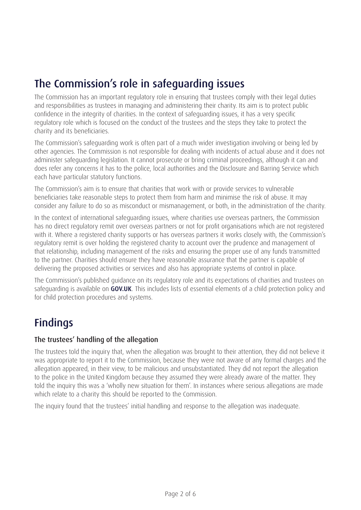## The Commission's role in safeguarding issues

The Commission has an important regulatory role in ensuring that trustees comply with their legal duties and responsibilities as trustees in managing and administering their charity. Its aim is to protect public confidence in the integrity of charities. In the context of safeguarding issues, it has a very specific regulatory role which is focused on the conduct of the trustees and the steps they take to protect the charity and its beneficiaries.

The Commission's safeguarding work is often part of a much wider investigation involving or being led by other agencies. The Commission is not responsible for dealing with incidents of actual abuse and it does not administer safeguarding legislation. It cannot prosecute or bring criminal proceedings, although it can and does refer any concerns it has to the police, local authorities and the Disclosure and Barring Service which each have particular statutory functions.

The Commission's aim is to ensure that charities that work with or provide services to vulnerable beneficiaries take reasonable steps to protect them from harm and minimise the risk of abuse. It may consider any failure to do so as misconduct or mismanagement, or both, in the administration of the charity.

In the context of international safeguarding issues, where charities use overseas partners, the Commission has no direct regulatory remit over overseas partners or not for profit organisations which are not registered with it. Where a registered charity supports or has overseas partners it works closely with, the Commission's regulatory remit is over holding the registered charity to account over the prudence and management of that relationship, including management of the risks and ensuring the proper use of any funds transmitted to the partner. Charities should ensure they have reasonable assurance that the partner is capable of delivering the proposed activities or services and also has appropriate systems of control in place.

The Commission's published guidance on its regulatory role and its expectations of charities and trustees on safeguarding is available on **[GOV.UK](https://www.gov.uk/government/publications/safeguarding-children-and-young-people)**. This includes lists of essential elements of a child protection policy and for child protection procedures and systems.

# Findings

#### The trustees' handling of the allegation

The trustees told the inquiry that, when the allegation was brought to their attention, they did not believe it was appropriate to report it to the Commission, because they were not aware of any formal charges and the allegation appeared, in their view, to be malicious and unsubstantiated. They did not report the allegation to the police in the United Kingdom because they assumed they were already aware of the matter. They told the inquiry this was a 'wholly new situation for them'. In instances where serious allegations are made which relate to a charity this should be reported to the Commission.

The inquiry found that the trustees' initial handling and response to the allegation was inadequate.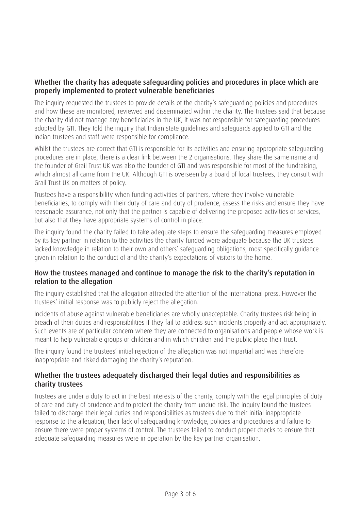#### Whether the charity has adequate safeguarding policies and procedures in place which are properly implemented to protect vulnerable beneficiaries

The inquiry requested the trustees to provide details of the charity's safeguarding policies and procedures and how these are monitored, reviewed and disseminated within the charity. The trustees said that because the charity did not manage any beneficiaries in the UK, it was not responsible for safeguarding procedures adopted by GTI. They told the inquiry that Indian state guidelines and safeguards applied to GTI and the Indian trustees and staff were responsible for compliance.

Whilst the trustees are correct that GTI is responsible for its activities and ensuring appropriate safeguarding procedures are in place, there is a clear link between the 2 organisations. They share the same name and the founder of Grail Trust UK was also the founder of GTI and was responsible for most of the fundraising, which almost all came from the UK. Although GTI is overseen by a board of local trustees, they consult with Grail Trust UK on matters of policy.

Trustees have a responsibility when funding activities of partners, where they involve vulnerable beneficiaries, to comply with their duty of care and duty of prudence, assess the risks and ensure they have reasonable assurance, not only that the partner is capable of delivering the proposed activities or services, but also that they have appropriate systems of control in place.

The inquiry found the charity failed to take adequate steps to ensure the safeguarding measures employed by its key partner in relation to the activities the charity funded were adequate because the UK trustees lacked knowledge in relation to their own and others' safeguarding obligations, most specifically guidance given in relation to the conduct of and the charity's expectations of visitors to the home.

#### How the trustees managed and continue to manage the risk to the charity's reputation in relation to the allegation

The inquiry established that the allegation attracted the attention of the international press. However the trustees' initial response was to publicly reject the allegation.

Incidents of abuse against vulnerable beneficiaries are wholly unacceptable. Charity trustees risk being in breach of their duties and responsibilities if they fail to address such incidents properly and act appropriately. Such events are of particular concern where they are connected to organisations and people whose work is meant to help vulnerable groups or children and in which children and the public place their trust.

The inquiry found the trustees' initial rejection of the allegation was not impartial and was therefore inappropriate and risked damaging the charity's reputation.

#### Whether the trustees adequately discharged their legal duties and responsibilities as charity trustees

Trustees are under a duty to act in the best interests of the charity, comply with the legal principles of duty of care and duty of prudence and to protect the charity from undue risk. The inquiry found the trustees failed to discharge their legal duties and responsibilities as trustees due to their initial inappropriate response to the allegation, their lack of safeguarding knowledge, policies and procedures and failure to ensure there were proper systems of control. The trustees failed to conduct proper checks to ensure that adequate safeguarding measures were in operation by the key partner organisation.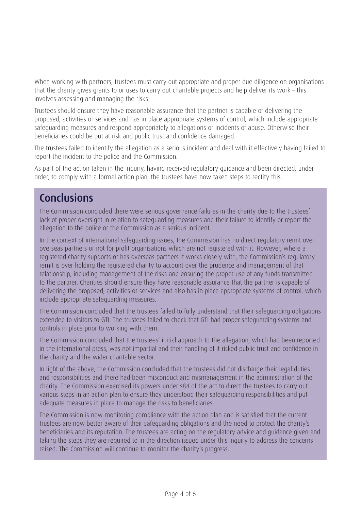When working with partners, trustees must carry out appropriate and proper due diligence on organisations that the charity gives grants to or uses to carry out charitable projects and help deliver its work – this involves assessing and managing the risks.

Trustees should ensure they have reasonable assurance that the partner is capable of delivering the proposed, activities or services and has in place appropriate systems of control, which include appropriate safeguarding measures and respond appropriately to allegations or incidents of abuse. Otherwise their beneficiaries could be put at risk and public trust and confidence damaged.

The trustees failed to identify the allegation as a serious incident and deal with it effectively having failed to report the incident to the police and the Commission.

As part of the action taken in the inquiry, having received regulatory guidance and been directed, under order, to comply with a formal action plan, the trustees have now taken steps to rectify this.

### Conclusions

The Commission concluded there were serious governance failures in the charity due to the trustees' lack of proper oversight in relation to safeguarding measures and their failure to identify or report the allegation to the police or the Commission as a serious incident.

In the context of international safeguarding issues, the Commission has no direct regulatory remit over overseas partners or not for profit organisations which are not registered with it. However, where a registered charity supports or has overseas partners it works closely with, the Commission's regulatory remit is over holding the registered charity to account over the prudence and management of that relationship, including management of the risks and ensuring the proper use of any funds transmitted to the partner. Charities should ensure they have reasonable assurance that the partner is capable of delivering the proposed, activities or services and also has in place appropriate systems of control, which include appropriate safeguarding measures.

The Commission concluded that the trustees failed to fully understand that their safeguarding obligations extended to visitors to GTI. The trustees failed to check that GTI had proper safeguarding systems and controls in place prior to working with them.

The Commission concluded that the trustees' initial approach to the allegation, which had been reported in the international press, was not impartial and their handling of it risked public trust and confidence in the charity and the wider charitable sector.

In light of the above, the Commission concluded that the trustees did not discharge their legal duties and responsibilities and there had been misconduct and mismanagement in the administration of the charity. The Commission exercised its powers under s84 of the act to direct the trustees to carry out various steps in an action plan to ensure they understood their safeguarding responsibilities and put adequate measures in place to manage the risks to beneficiaries.

The Commission is now monitoring compliance with the action plan and is satisfied that the current trustees are now better aware of their safeguarding obligations and the need to protect the charity's beneficiaries and its reputation. The trustees are acting on the regulatory advice and guidance given and taking the steps they are required to in the direction issued under this inquiry to address the concerns raised. The Commission will continue to monitor the charity's progress.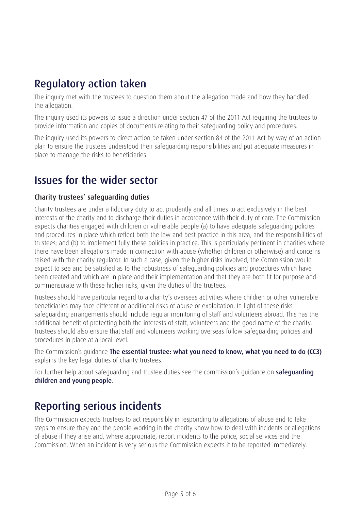### Regulatory action taken

The inquiry met with the trustees to question them about the allegation made and how they handled the allegation.

The inquiry used its powers to issue a direction under section 47 of the 2011 Act requiring the trustees to provide information and copies of documents relating to their safeguarding policy and procedures.

The inquiry used its powers to direct action be taken under section 84 of the 2011 Act by way of an action plan to ensure the trustees understood their safeguarding responsibilities and put adequate measures in place to manage the risks to beneficiaries.

### Issues for the wider sector

#### Charity trustees' safeguarding duties

Charity trustees are under a fiduciary duty to act prudently and all times to act exclusively in the best interests of the charity and to discharge their duties in accordance with their duty of care. The Commission expects charities engaged with children or vulnerable people (a) to have adequate safeguarding policies and procedures in place which reflect both the law and best practice in this area, and the responsibilities of trustees; and (b) to implement fully these policies in practice. This is particularly pertinent in charities where there have been allegations made in connection with abuse (whether children or otherwise) and concerns raised with the charity regulator. In such a case, given the higher risks involved, the Commission would expect to see and be satisfied as to the robustness of safeguarding policies and procedures which have been created and which are in place and their implementation and that they are both fit for purpose and commensurate with these higher risks, given the duties of the trustees.

Trustees should have particular regard to a charity's overseas activities where children or other vulnerable beneficiaries may face different or additional risks of abuse or exploitation. In light of these risks safeguarding arrangements should include regular monitoring of staff and volunteers abroad. This has the additional benefit of protecting both the interests of staff, volunteers and the good name of the charity. Trustees should also ensure that staff and volunteers working overseas follow safeguarding policies and procedures in place at a local level.

The Commission's guidance [The essential trustee: what you need to know, what you need to do \(CC3\)](https://www.gov.uk/government/publications/the-essential-trustee-what-you-need-to-know-cc3) explains the key legal duties of charity trustees.

For further help about [safeguarding](https://www.gov.uk/government/publications/safeguarding-children-and-young-people) and trustee duties see the commission's quidance on **safeguarding** [children and young people](https://www.gov.uk/government/publications/safeguarding-children-and-young-people).

## Reporting serious incidents

The Commission expects trustees to act responsibly in responding to allegations of abuse and to take steps to ensure they and the people working in the charity know how to deal with incidents or allegations of abuse if they arise and, where appropriate, report incidents to the police, social services and the Commission. When an incident is very serious the Commission expects it to be reported immediately.